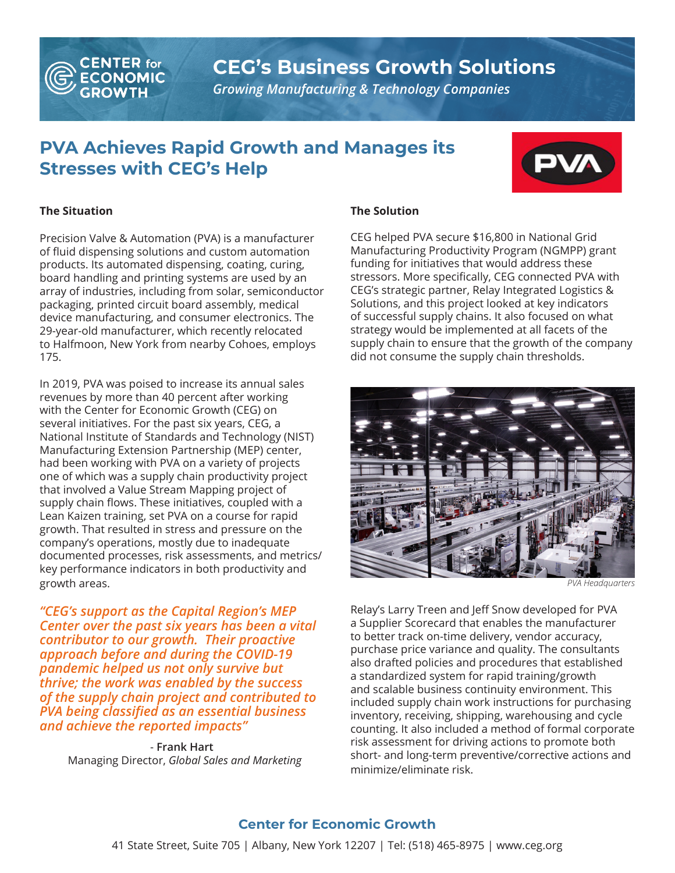

## **CEG's Business Growth Solutions**

*Growing Manufacturing & Technology Companies*

### **PVA Achieves Rapid Growth and Manages its Stresses with CEG's Help**



#### **The Situation**

Precision Valve & Automation (PVA) is a manufacturer of fluid dispensing solutions and custom automation products. Its automated dispensing, coating, curing, board handling and printing systems are used by an array of industries, including from solar, semiconductor packaging, printed circuit board assembly, medical device manufacturing, and consumer electronics. The 29-year-old manufacturer, which recently relocated to Halfmoon, New York from nearby Cohoes, employs 175.

In 2019, PVA was poised to increase its annual sales revenues by more than 40 percent after working with the Center for Economic Growth (CEG) on several initiatives. For the past six years, CEG, a National Institute of Standards and Technology (NIST) Manufacturing Extension Partnership (MEP) center, had been working with PVA on a variety of projects one of which was a supply chain productivity project that involved a Value Stream Mapping project of supply chain flows. These initiatives, coupled with a Lean Kaizen training, set PVA on a course for rapid growth. That resulted in stress and pressure on the company's operations, mostly due to inadequate documented processes, risk assessments, and metrics/ key performance indicators in both productivity and growth areas.

*"CEG's support as the Capital Region's MEP Center over the past six years has been a vital contributor to our growth. Their proactive approach before and during the COVID-19 pandemic helped us not only survive but thrive; the work was enabled by the success of the supply chain project and contributed to PVA being classified as an essential business and achieve the reported impacts"*

- **Frank Hart** Managing Director, *Global Sales and Marketing*

#### **The Solution**

CEG helped PVA secure \$16,800 in National Grid Manufacturing Productivity Program (NGMPP) grant funding for initiatives that would address these stressors. More specifically, CEG connected PVA with CEG's strategic partner, Relay Integrated Logistics & Solutions, and this project looked at key indicators of successful supply chains. It also focused on what strategy would be implemented at all facets of the supply chain to ensure that the growth of the company did not consume the supply chain thresholds.



*PVA Headquarters*

Relay's Larry Treen and Jeff Snow developed for PVA a Supplier Scorecard that enables the manufacturer to better track on-time delivery, vendor accuracy, purchase price variance and quality. The consultants also drafted policies and procedures that established a standardized system for rapid training/growth and scalable business continuity environment. This included supply chain work instructions for purchasing inventory, receiving, shipping, warehousing and cycle counting. It also included a method of formal corporate risk assessment for driving actions to promote both short- and long-term preventive/corrective actions and minimize/eliminate risk.

#### **Center for Economic Growth**